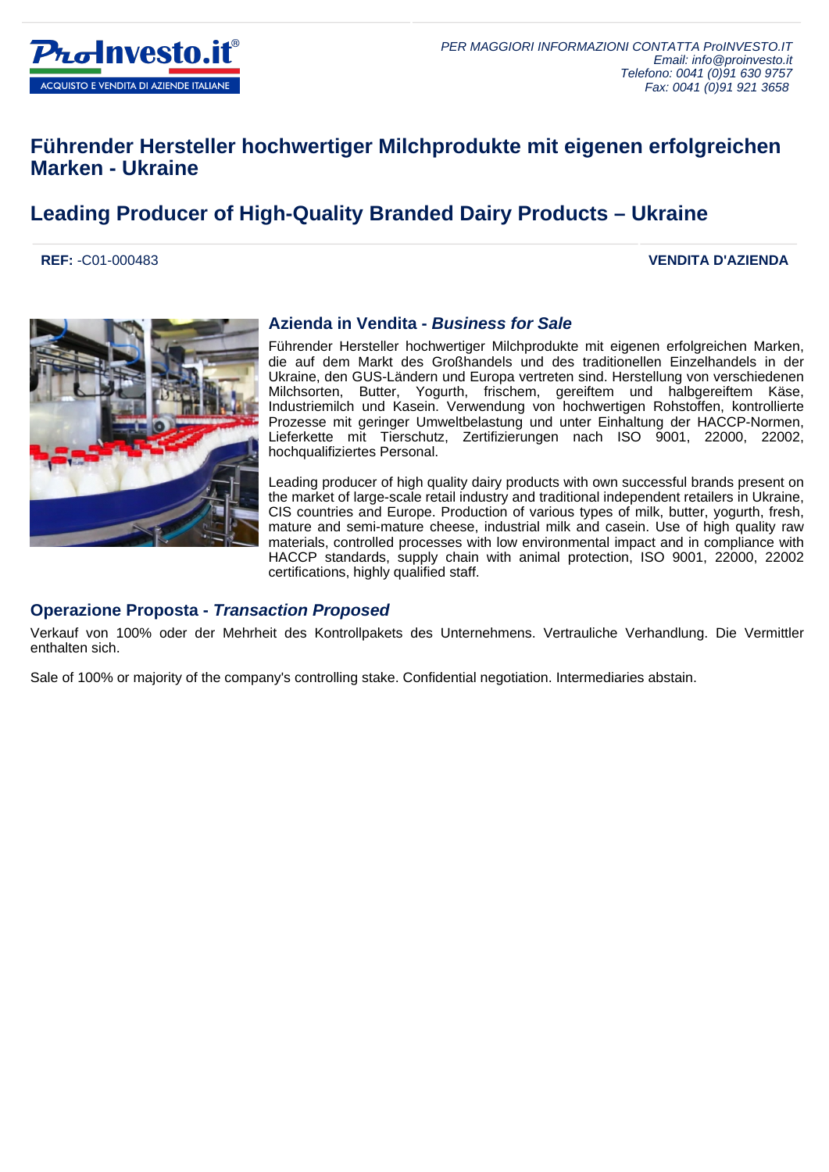

### **Führender Hersteller hochwertiger Milchprodukte mit eigenen erfolgreichen Marken - Ukraine**

## **Leading Producer of High-Quality Branded Dairy Products – Ukraine**

**REF:** -C01-000483 **VENDITA D'AZIENDA**



#### **Azienda in Vendita - Business for Sale**

Führender Hersteller hochwertiger Milchprodukte mit eigenen erfolgreichen Marken, die auf dem Markt des Großhandels und des traditionellen Einzelhandels in der Ukraine, den GUS-Ländern und Europa vertreten sind. Herstellung von verschiedenen Milchsorten, Butter, Yogurth, frischem, gereiftem und halbgereiftem Käse, Industriemilch und Kasein. Verwendung von hochwertigen Rohstoffen, kontrollierte Prozesse mit geringer Umweltbelastung und unter Einhaltung der HACCP-Normen, Lieferkette mit Tierschutz, Zertifizierungen nach ISO 9001, 22000, 22002, hochqualifiziertes Personal.

Leading producer of high quality dairy products with own successful brands present on the market of large-scale retail industry and traditional independent retailers in Ukraine, CIS countries and Europe. Production of various types of milk, butter, yogurth, fresh, mature and semi-mature cheese, industrial milk and casein. Use of high quality raw materials, controlled processes with low environmental impact and in compliance with HACCP standards, supply chain with animal protection, ISO 9001, 22000, 22002 certifications, highly qualified staff.

#### **Operazione Proposta - Transaction Proposed**

Verkauf von 100% oder der Mehrheit des Kontrollpakets des Unternehmens. Vertrauliche Verhandlung. Die Vermittler enthalten sich.

Sale of 100% or majority of the company's controlling stake. Confidential negotiation. Intermediaries abstain.